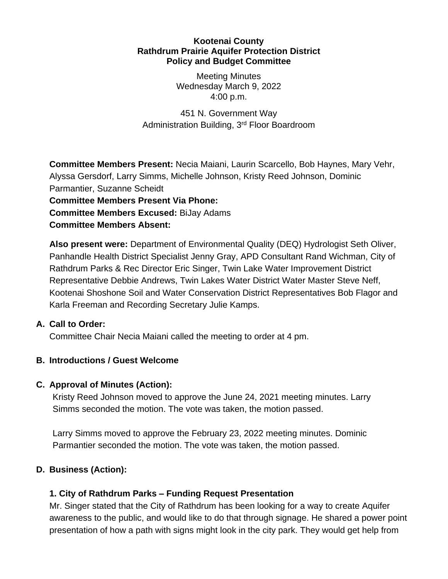#### **Kootenai County Rathdrum Prairie Aquifer Protection District Policy and Budget Committee**

Meeting Minutes Wednesday March 9, 2022 4:00 p.m.

451 N. Government Way Administration Building, 3rd Floor Boardroom

**Committee Members Present:** Necia Maiani, Laurin Scarcello, Bob Haynes, Mary Vehr, Alyssa Gersdorf, Larry Simms, Michelle Johnson, Kristy Reed Johnson, Dominic Parmantier, Suzanne Scheidt

**Committee Members Present Via Phone: Committee Members Excused:** BiJay Adams

**Committee Members Absent:**

**Also present were:** Department of Environmental Quality (DEQ) Hydrologist Seth Oliver, Panhandle Health District Specialist Jenny Gray, APD Consultant Rand Wichman, City of Rathdrum Parks & Rec Director Eric Singer, Twin Lake Water Improvement District Representative Debbie Andrews, Twin Lakes Water District Water Master Steve Neff, Kootenai Shoshone Soil and Water Conservation District Representatives Bob Flagor and Karla Freeman and Recording Secretary Julie Kamps.

## **A. Call to Order:**

Committee Chair Necia Maiani called the meeting to order at 4 pm.

## **B. Introductions / Guest Welcome**

## **C. Approval of Minutes (Action):**

Kristy Reed Johnson moved to approve the June 24, 2021 meeting minutes. Larry Simms seconded the motion. The vote was taken, the motion passed.

Larry Simms moved to approve the February 23, 2022 meeting minutes. Dominic Parmantier seconded the motion. The vote was taken, the motion passed.

# **D. Business (Action):**

## **1. City of Rathdrum Parks – Funding Request Presentation**

Mr. Singer stated that the City of Rathdrum has been looking for a way to create Aquifer awareness to the public, and would like to do that through signage. He shared a power point presentation of how a path with signs might look in the city park. They would get help from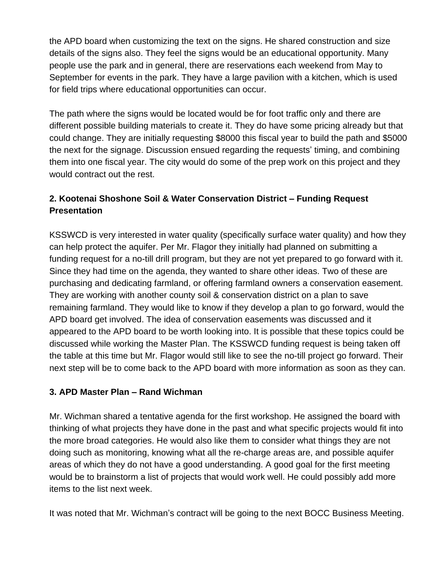the APD board when customizing the text on the signs. He shared construction and size details of the signs also. They feel the signs would be an educational opportunity. Many people use the park and in general, there are reservations each weekend from May to September for events in the park. They have a large pavilion with a kitchen, which is used for field trips where educational opportunities can occur.

The path where the signs would be located would be for foot traffic only and there are different possible building materials to create it. They do have some pricing already but that could change. They are initially requesting \$8000 this fiscal year to build the path and \$5000 the next for the signage. Discussion ensued regarding the requests' timing, and combining them into one fiscal year. The city would do some of the prep work on this project and they would contract out the rest.

# **2. Kootenai Shoshone Soil & Water Conservation District – Funding Request Presentation**

KSSWCD is very interested in water quality (specifically surface water quality) and how they can help protect the aquifer. Per Mr. Flagor they initially had planned on submitting a funding request for a no-till drill program, but they are not yet prepared to go forward with it. Since they had time on the agenda, they wanted to share other ideas. Two of these are purchasing and dedicating farmland, or offering farmland owners a conservation easement. They are working with another county soil & conservation district on a plan to save remaining farmland. They would like to know if they develop a plan to go forward, would the APD board get involved. The idea of conservation easements was discussed and it appeared to the APD board to be worth looking into. It is possible that these topics could be discussed while working the Master Plan. The KSSWCD funding request is being taken off the table at this time but Mr. Flagor would still like to see the no-till project go forward. Their next step will be to come back to the APD board with more information as soon as they can.

### **3. APD Master Plan – Rand Wichman**

Mr. Wichman shared a tentative agenda for the first workshop. He assigned the board with thinking of what projects they have done in the past and what specific projects would fit into the more broad categories. He would also like them to consider what things they are not doing such as monitoring, knowing what all the re-charge areas are, and possible aquifer areas of which they do not have a good understanding. A good goal for the first meeting would be to brainstorm a list of projects that would work well. He could possibly add more items to the list next week.

It was noted that Mr. Wichman's contract will be going to the next BOCC Business Meeting.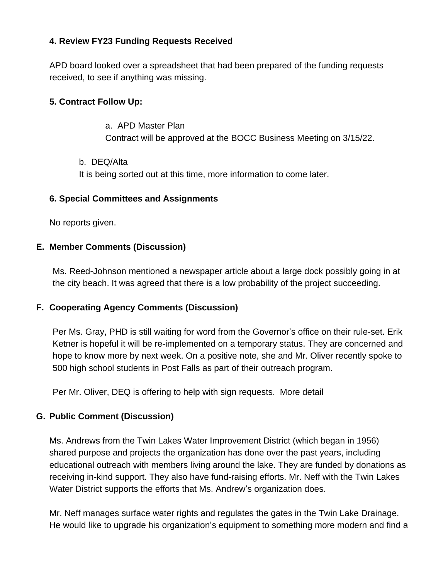### **4. Review FY23 Funding Requests Received**

APD board looked over a spreadsheet that had been prepared of the funding requests received, to see if anything was missing.

### **5. Contract Follow Up:**

### a. APD Master Plan Contract will be approved at the BOCC Business Meeting on 3/15/22.

b. DEQ/Alta It is being sorted out at this time, more information to come later.

#### **6. Special Committees and Assignments**

No reports given.

### **E. Member Comments (Discussion)**

Ms. Reed-Johnson mentioned a newspaper article about a large dock possibly going in at the city beach. It was agreed that there is a low probability of the project succeeding.

#### **F. Cooperating Agency Comments (Discussion)**

Per Ms. Gray, PHD is still waiting for word from the Governor's office on their rule-set. Erik Ketner is hopeful it will be re-implemented on a temporary status. They are concerned and hope to know more by next week. On a positive note, she and Mr. Oliver recently spoke to 500 high school students in Post Falls as part of their outreach program.

Per Mr. Oliver, DEQ is offering to help with sign requests. More detail

#### **G. Public Comment (Discussion)**

Ms. Andrews from the Twin Lakes Water Improvement District (which began in 1956) shared purpose and projects the organization has done over the past years, including educational outreach with members living around the lake. They are funded by donations as receiving in-kind support. They also have fund-raising efforts. Mr. Neff with the Twin Lakes Water District supports the efforts that Ms. Andrew's organization does.

Mr. Neff manages surface water rights and regulates the gates in the Twin Lake Drainage. He would like to upgrade his organization's equipment to something more modern and find a